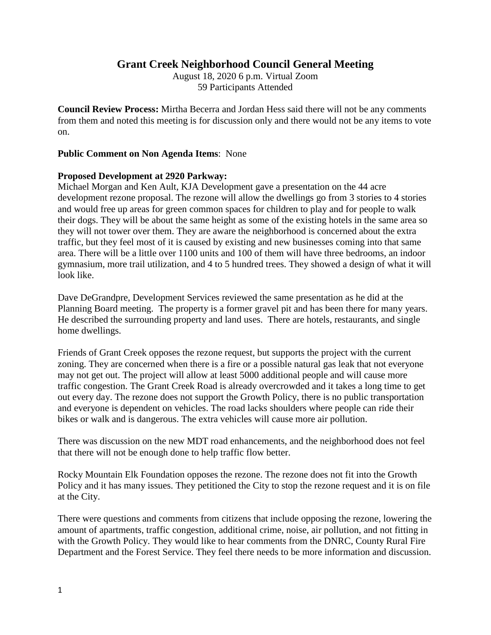## **Grant Creek Neighborhood Council General Meeting**

August 18, 2020 6 p.m. Virtual Zoom 59 Participants Attended

**Council Review Process:** Mirtha Becerra and Jordan Hess said there will not be any comments from them and noted this meeting is for discussion only and there would not be any items to vote on.

## **Public Comment on Non Agenda Items**: None

## **Proposed Development at 2920 Parkway:**

Michael Morgan and Ken Ault, KJA Development gave a presentation on the 44 acre development rezone proposal. The rezone will allow the dwellings go from 3 stories to 4 stories and would free up areas for green common spaces for children to play and for people to walk their dogs. They will be about the same height as some of the existing hotels in the same area so they will not tower over them. They are aware the neighborhood is concerned about the extra traffic, but they feel most of it is caused by existing and new businesses coming into that same area. There will be a little over 1100 units and 100 of them will have three bedrooms, an indoor gymnasium, more trail utilization, and 4 to 5 hundred trees. They showed a design of what it will look like.

Dave DeGrandpre, Development Services reviewed the same presentation as he did at the Planning Board meeting. The property is a former gravel pit and has been there for many years. He described the surrounding property and land uses. There are hotels, restaurants, and single home dwellings.

Friends of Grant Creek opposes the rezone request, but supports the project with the current zoning. They are concerned when there is a fire or a possible natural gas leak that not everyone may not get out. The project will allow at least 5000 additional people and will cause more traffic congestion. The Grant Creek Road is already overcrowded and it takes a long time to get out every day. The rezone does not support the Growth Policy, there is no public transportation and everyone is dependent on vehicles. The road lacks shoulders where people can ride their bikes or walk and is dangerous. The extra vehicles will cause more air pollution.

There was discussion on the new MDT road enhancements, and the neighborhood does not feel that there will not be enough done to help traffic flow better.

Rocky Mountain Elk Foundation opposes the rezone. The rezone does not fit into the Growth Policy and it has many issues. They petitioned the City to stop the rezone request and it is on file at the City.

There were questions and comments from citizens that include opposing the rezone, lowering the amount of apartments, traffic congestion, additional crime, noise, air pollution, and not fitting in with the Growth Policy. They would like to hear comments from the DNRC, County Rural Fire Department and the Forest Service. They feel there needs to be more information and discussion.